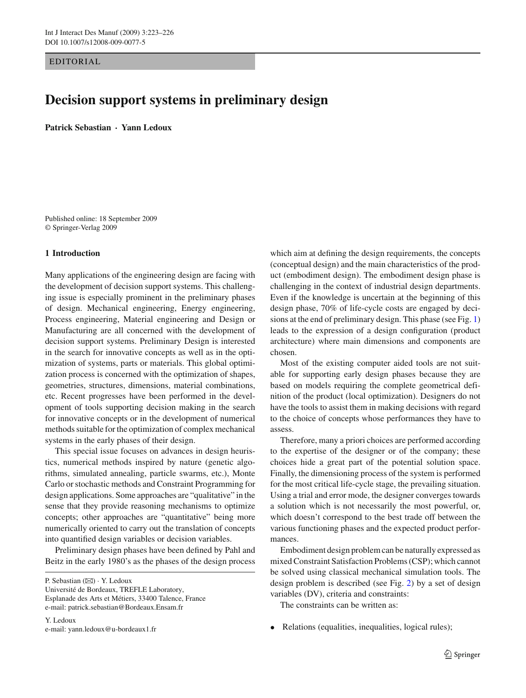EDITORIAL

## **Decision support systems in preliminary design**

**Patrick Sebastian · Yann Ledoux**

Published online: 18 September 2009 © Springer-Verlag 2009

## **1 Introduction**

Many applications of the engineering design are facing with the development of decision support systems. This challenging issue is especially prominent in the preliminary phases of design. Mechanical engineering, Energy engineering, Process engineering, Material engineering and Design or Manufacturing are all concerned with the development of decision support systems. Preliminary Design is interested in the search for innovative concepts as well as in the optimization of systems, parts or materials. This global optimization process is concerned with the optimization of shapes, geometries, structures, dimensions, material combinations, etc. Recent progresses have been performed in the development of tools supporting decision making in the search for innovative concepts or in the development of numerical methods suitable for the optimization of complex mechanical systems in the early phases of their design.

This special issue focuses on advances in design heuristics, numerical methods inspired by nature (genetic algorithms, simulated annealing, particle swarms, etc.), Monte Carlo or stochastic methods and Constraint Programming for design applications. Some approaches are "qualitative" in the sense that they provide reasoning mechanisms to optimize concepts; other approaches are "quantitative" being more numerically oriented to carry out the translation of concepts into quantified design variables or decision variables.

Preliminary design phases have been defined by Pahl and Beitz in the early 1980's as the phases of the design process

Y. Ledoux e-mail: yann.ledoux@u-bordeaux1.fr which aim at defining the design requirements, the concepts (conceptual design) and the main characteristics of the product (embodiment design). The embodiment design phase is challenging in the context of industrial design departments. Even if the knowledge is uncertain at the beginning of this design phase, 70% of life-cycle costs are engaged by decisions at the end of preliminary design. This phase (see Fig. [1\)](#page-1-0) leads to the expression of a design configuration (product architecture) where main dimensions and components are chosen.

Most of the existing computer aided tools are not suitable for supporting early design phases because they are based on models requiring the complete geometrical definition of the product (local optimization). Designers do not have the tools to assist them in making decisions with regard to the choice of concepts whose performances they have to assess.

Therefore, many a priori choices are performed according to the expertise of the designer or of the company; these choices hide a great part of the potential solution space. Finally, the dimensioning process of the system is performed for the most critical life-cycle stage, the prevailing situation. Using a trial and error mode, the designer converges towards a solution which is not necessarily the most powerful, or, which doesn't correspond to the best trade off between the various functioning phases and the expected product performances.

Embodiment design problem can be naturally expressed as mixed Constraint Satisfaction Problems (CSP); which cannot be solved using classical mechanical simulation tools. The design problem is described (see Fig. [2\)](#page-1-1) by a set of design variables (DV), criteria and constraints:

The constraints can be written as:

Relations (equalities, inequalities, logical rules);

P. Sebastian (⊠) · Y. Ledoux

Université de Bordeaux, TREFLE Laboratory, Esplanade des Arts et Métiers, 33400 Talence, France e-mail: patrick.sebastian@Bordeaux.Ensam.fr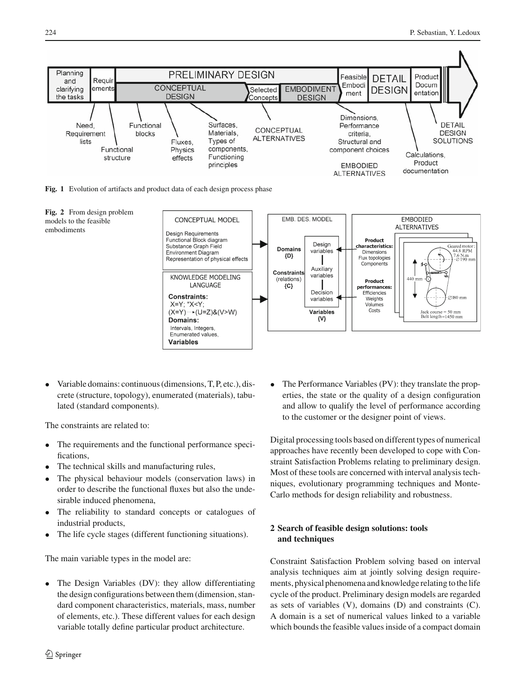

<span id="page-1-0"></span>**Fig. 1** Evolution of artifacts and product data of each design process phase

<span id="page-1-1"></span>

• Variable domains: continuous (dimensions, T, P, etc.), discrete (structure, topology), enumerated (materials), tabulated (standard components).

The constraints are related to:

- The requirements and the functional performance specifications,
- The technical skills and manufacturing rules,
- The physical behaviour models (conservation laws) in order to describe the functional fluxes but also the undesirable induced phenomena,
- The reliability to standard concepts or catalogues of industrial products,
- The life cycle stages (different functioning situations).

The main variable types in the model are:

The Design Variables (DV): they allow differentiating the design configurations between them (dimension, standard component characteristics, materials, mass, number of elements, etc.). These different values for each design variable totally define particular product architecture.

The Performance Variables (PV): they translate the properties, the state or the quality of a design configuration and allow to qualify the level of performance according to the customer or the designer point of views.

Digital processing tools based on different types of numerical approaches have recently been developed to cope with Constraint Satisfaction Problems relating to preliminary design. Most of these tools are concerned with interval analysis techniques, evolutionary programming techniques and Monte-Carlo methods for design reliability and robustness.

## **2 Search of feasible design solutions: tools and techniques**

Constraint Satisfaction Problem solving based on interval analysis techniques aim at jointly solving design requirements, physical phenomena and knowledge relating to the life cycle of the product. Preliminary design models are regarded as sets of variables (V), domains (D) and constraints (C). A domain is a set of numerical values linked to a variable which bounds the feasible values inside of a compact domain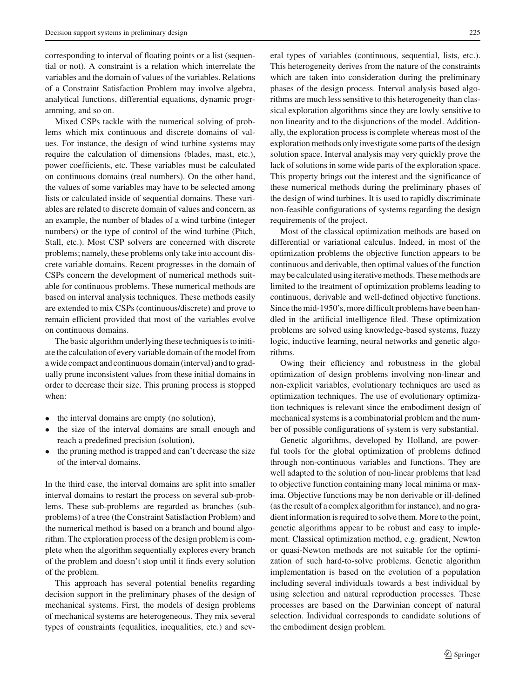corresponding to interval of floating points or a list (sequential or not). A constraint is a relation which interrelate the variables and the domain of values of the variables. Relations of a Constraint Satisfaction Problem may involve algebra, analytical functions, differential equations, dynamic programming, and so on.

Mixed CSPs tackle with the numerical solving of problems which mix continuous and discrete domains of values. For instance, the design of wind turbine systems may require the calculation of dimensions (blades, mast, etc.), power coefficients, etc. These variables must be calculated on continuous domains (real numbers). On the other hand, the values of some variables may have to be selected among lists or calculated inside of sequential domains. These variables are related to discrete domain of values and concern, as an example, the number of blades of a wind turbine (integer numbers) or the type of control of the wind turbine (Pitch, Stall, etc.). Most CSP solvers are concerned with discrete problems; namely, these problems only take into account discrete variable domains. Recent progresses in the domain of CSPs concern the development of numerical methods suitable for continuous problems. These numerical methods are based on interval analysis techniques. These methods easily are extended to mix CSPs (continuous/discrete) and prove to remain efficient provided that most of the variables evolve on continuous domains.

The basic algorithm underlying these techniques is to initiate the calculation of every variable domain of the model from a wide compact and continuous domain (interval) and to gradually prune inconsistent values from these initial domains in order to decrease their size. This pruning process is stopped when:

- the interval domains are empty (no solution),
- the size of the interval domains are small enough and reach a predefined precision (solution),
- the pruning method is trapped and can't decrease the size of the interval domains.

In the third case, the interval domains are split into smaller interval domains to restart the process on several sub-problems. These sub-problems are regarded as branches (subproblems) of a tree (the Constraint Satisfaction Problem) and the numerical method is based on a branch and bound algorithm. The exploration process of the design problem is complete when the algorithm sequentially explores every branch of the problem and doesn't stop until it finds every solution of the problem.

This approach has several potential benefits regarding decision support in the preliminary phases of the design of mechanical systems. First, the models of design problems of mechanical systems are heterogeneous. They mix several types of constraints (equalities, inequalities, etc.) and several types of variables (continuous, sequential, lists, etc.). This heterogeneity derives from the nature of the constraints which are taken into consideration during the preliminary phases of the design process. Interval analysis based algorithms are much less sensitive to this heterogeneity than classical exploration algorithms since they are lowly sensitive to non linearity and to the disjunctions of the model. Additionally, the exploration process is complete whereas most of the exploration methods only investigate some parts of the design solution space. Interval analysis may very quickly prove the lack of solutions in some wide parts of the exploration space. This property brings out the interest and the significance of these numerical methods during the preliminary phases of the design of wind turbines. It is used to rapidly discriminate non-feasible configurations of systems regarding the design requirements of the project.

Most of the classical optimization methods are based on differential or variational calculus. Indeed, in most of the optimization problems the objective function appears to be continuous and derivable, then optimal values of the function may be calculated using iterative methods. These methods are limited to the treatment of optimization problems leading to continuous, derivable and well-defined objective functions. Since the mid-1950's, more difficult problems have been handled in the artificial intelligence filed. These optimization problems are solved using knowledge-based systems, fuzzy logic, inductive learning, neural networks and genetic algorithms.

Owing their efficiency and robustness in the global optimization of design problems involving non-linear and non-explicit variables, evolutionary techniques are used as optimization techniques. The use of evolutionary optimization techniques is relevant since the embodiment design of mechanical systems is a combinatorial problem and the number of possible configurations of system is very substantial.

Genetic algorithms, developed by Holland, are powerful tools for the global optimization of problems defined through non-continuous variables and functions. They are well adapted to the solution of non-linear problems that lead to objective function containing many local minima or maxima. Objective functions may be non derivable or ill-defined (as the result of a complex algorithm for instance), and no gradient information is required to solve them. More to the point, genetic algorithms appear to be robust and easy to implement. Classical optimization method, e.g. gradient, Newton or quasi-Newton methods are not suitable for the optimization of such hard-to-solve problems. Genetic algorithm implementation is based on the evolution of a population including several individuals towards a best individual by using selection and natural reproduction processes. These processes are based on the Darwinian concept of natural selection. Individual corresponds to candidate solutions of the embodiment design problem.